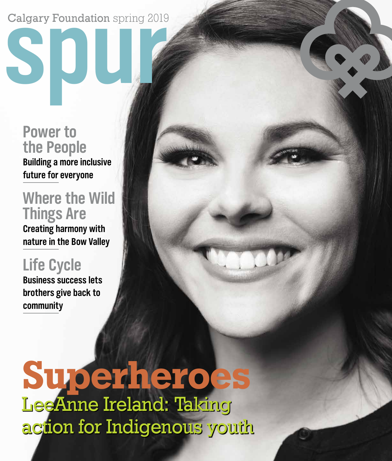# **spur** Calgary Foundation spring 2019

**Power to the People Building a more inclusive future for everyone**

## **Where the Wild Things Are**

**Creating harmony with nature in the Bow Valley** 

## **Life Cycle**

**Business success lets brothers give back to community**

LeeAnne Ireland: Taking action for Indigenous youth **Superheroes**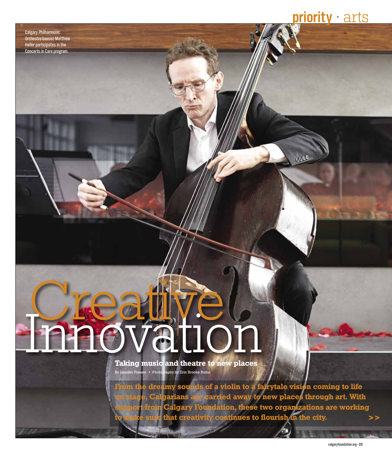**priority •** arts

0000

Calgary Philharmonic Orchestra bassist Matthew Heller participates in the Concerts in Care program.

# **Ennovation**

**Taking music and theatre to new places**  By Jennifer Friesen • Photography by Erin Brooke Burns

**From the dreamy sounds of a violin to a fairytale vision coming to life on stage, Calgarians are carried away to new places through art. With support from Calgary Foundation, these two organizations are working to make sure that creativity continues to flourish in the city.**  $>$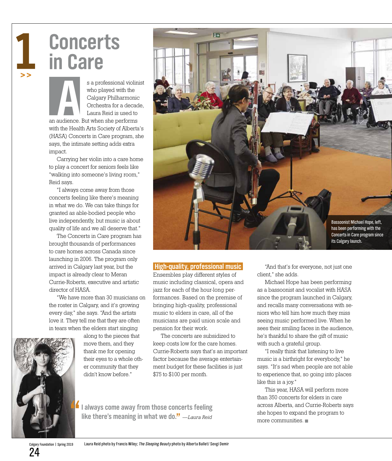# l

**Concerts in Care**

s a professional violinist<br>
who played with the<br>
Calgary Philharmonic<br>
Orchestra for a decade,<br>
Laura Reid is used to<br>
uudience. But when she performs<br>
Here is a set of the Maria Maria Maria Maria Maria Maria Maria Maria M who played with the Calgary Philharmonic Orchestra for a decade, Laura Reid is used to

an audience. But when she performs with the Health Arts Society of Alberta's (HASA) Concerts in Care program, she says, the intimate setting adds extra impact.

Carrying her violin into a care home to play a concert for seniors feels like "walking into someone's living room," Reid says.

"I always come away from those concerts feeling like there's meaning in what we do. We can take things for granted as able-bodied people who live independently, but music is about quality of life and we all deserve that."

The Concerts in Care program has brought thousands of performances to care homes across Canada since launching in 2006. The program only arrived in Calgary last year, but the impact is already clear to Meran Currie-Roberts, executive and artistic director of HASA.

"We have more than 30 musicians on the roster in Calgary, and it's growing every day," she says. "And the artists love it. They tell me that they are often in tears when the elders start singing



along to the pieces that move them, and they thank me for opening their eyes to a whole other community that they didn't know before."



#### **High-quality, professional music**

Ensembles play different styles of music including classical, opera and jazz for each of the hour-long performances. Based on the premise of bringing high-quality, professional music to elders in care, all of the musicians are paid union scale and pension for their work.

The concerts are subsidized to keep costs low for the care homes. Currie-Roberts says that's an important factor because the average entertainment budget for these facilities is just \$75 to \$100 per month.

**" I always come away from those concerts feeling like there's meaning in what we do."** *—Laura Reid*

"And that's for everyone, not just one client," she adds.

Michael Hope has been performing as a bassoonist and vocalist with HASA since the program launched in Calgary, and recalls many conversations with seniors who tell him how much they miss seeing music performed live. When he sees their smiling faces in the audience, he's thankful to share the gift of music with such a grateful group.

"I really think that listening to live music is a birthright for everybody," he says. "It's sad when people are not able to experience that, so going into places like this is a joy."

This year, HASA will perform more than 350 concerts for elders in care across Alberta, and Currie-Roberts says she hopes to expand the program to more communities.

Calgary Foundation | Spring 2019 24

Laura Reid photo by Francis Wiley; The Sleeping Beauty photo by Alberta Ballet/ Sevgi Demir